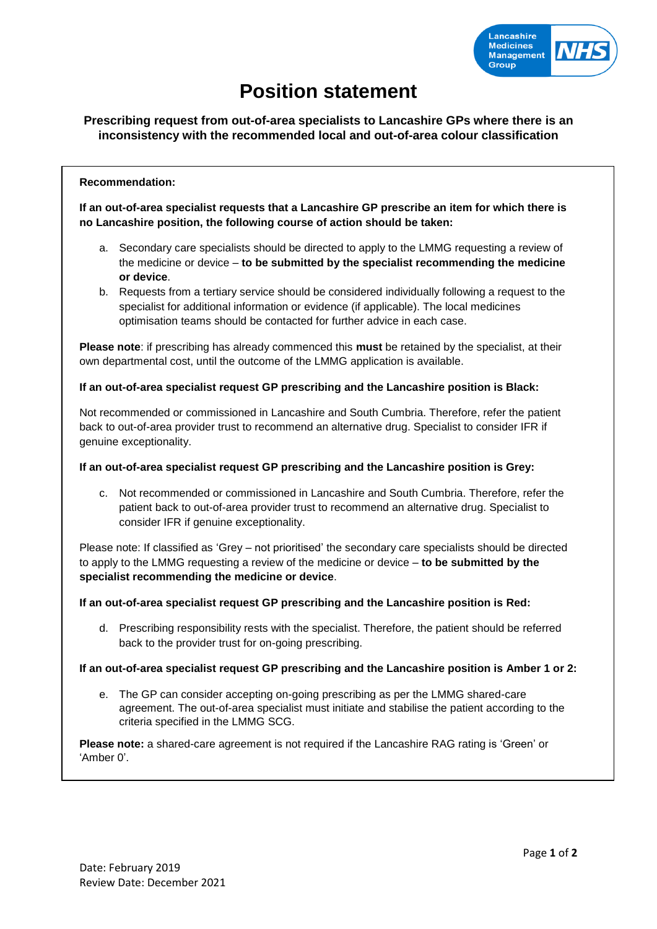

# **Position statement**

# **Prescribing request from out-of-area specialists to Lancashire GPs where there is an inconsistency with the recommended local and out-of-area colour classification**

# **Recommendation:**

**If an out-of-area specialist requests that a Lancashire GP prescribe an item for which there is no Lancashire position, the following course of action should be taken:**

- a. Secondary care specialists should be directed to apply to the LMMG requesting a review of the medicine or device – **to be submitted by the specialist recommending the medicine or device**.
- b. Requests from a tertiary service should be considered individually following a request to the specialist for additional information or evidence (if applicable). The local medicines optimisation teams should be contacted for further advice in each case.

**Please note**: if prescribing has already commenced this **must** be retained by the specialist, at their own departmental cost, until the outcome of the LMMG application is available.

# **If an out-of-area specialist request GP prescribing and the Lancashire position is Black:**

Not recommended or commissioned in Lancashire and South Cumbria. Therefore, refer the patient back to out-of-area provider trust to recommend an alternative drug. Specialist to consider IFR if genuine exceptionality.

#### **If an out-of-area specialist request GP prescribing and the Lancashire position is Grey:**

c. Not recommended or commissioned in Lancashire and South Cumbria. Therefore, refer the patient back to out-of-area provider trust to recommend an alternative drug. Specialist to consider IFR if genuine exceptionality.

Please note: If classified as 'Grey – not prioritised' the secondary care specialists should be directed to apply to the LMMG requesting a review of the medicine or device – **to be submitted by the specialist recommending the medicine or device**.

**If an out-of-area specialist request GP prescribing and the Lancashire position is Red:**

d. Prescribing responsibility rests with the specialist. Therefore, the patient should be referred back to the provider trust for on-going prescribing.

# **If an out-of-area specialist request GP prescribing and the Lancashire position is Amber 1 or 2:**

e. The GP can consider accepting on-going prescribing as per the LMMG shared-care agreement. The out-of-area specialist must initiate and stabilise the patient according to the criteria specified in the LMMG SCG.

**Please note:** a shared-care agreement is not required if the Lancashire RAG rating is 'Green' or 'Amber 0'.